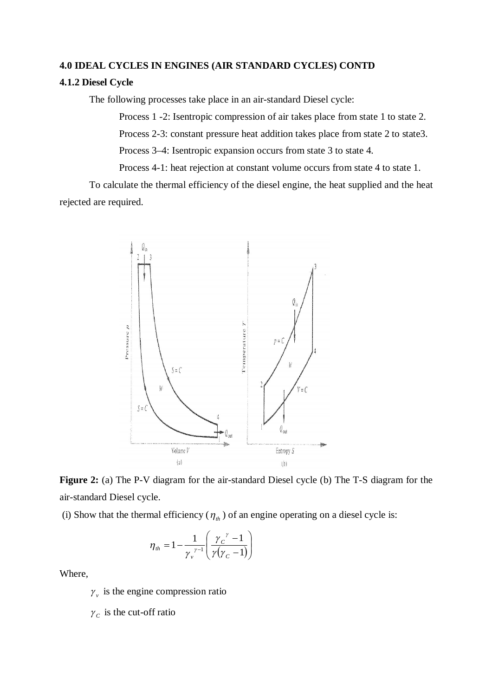## **4.0 IDEAL CYCLES IN ENGINES (AIR STANDARD CYCLES) CONTD**

## **4.1.2 Diesel Cycle**

The following processes take place in an air-standard Diesel cycle:

Process 1 -2: Isentropic compression of air takes place from state 1 to state 2. Process 2-3: constant pressure heat addition takes place from state 2 to state3. Process 3–4: Isentropic expansion occurs from state 3 to state 4.

Process 4-1: heat rejection at constant volume occurs from state 4 to state 1.

To calculate the thermal efficiency of the diesel engine, the heat supplied and the heat rejected are required.



**Figure 2:** (a) The P-V diagram for the air-standard Diesel cycle (b) The T-S diagram for the air-standard Diesel cycle.

(i) Show that the thermal efficiency  $(\eta_h)$  of an engine operating on a diesel cycle is:

$$
\eta_{th} = 1 - \frac{1}{\gamma_v^{\gamma-1}} \left( \frac{\gamma_c^{\gamma} - 1}{\gamma(\gamma_c - 1)} \right)
$$

Where,

 $\gamma$ <sup>v</sup> is the engine compression ratio

 $\gamma_c$  is the cut-off ratio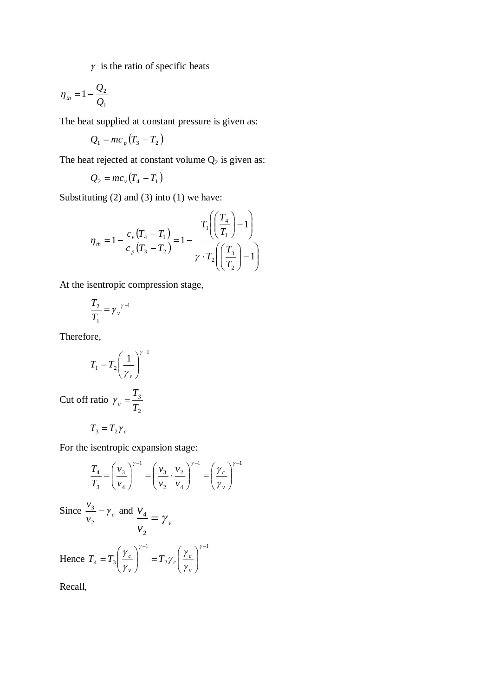$\gamma$  is the ratio of specific heats

$$
\eta_{th} = 1 - \frac{Q_2}{Q_1}
$$

The heat supplied at constant pressure is given as:

$$
Q_1 = mc_p \left( T_3 - T_2 \right)
$$

The heat rejected at constant volume  $Q_2$  is given as:

$$
Q_2 = mc_v (T_4 - T_1)
$$

Substituting (2) and (3) into (1) we have:

$$
\eta_{th} = 1 - \frac{c_{\nu} (T_4 - T_1)}{c_{\nu} (T_3 - T_2)} = 1 - \frac{T_1 \left( \left( \frac{T_4}{T_1} \right) - 1 \right)}{\gamma \cdot T_2 \left( \left( \frac{T_3}{T_2} \right) - 1 \right)}
$$

At the isentropic compression stage,

$$
\frac{T_2}{T_1} = \gamma_v^{\gamma - 1}
$$

Therefore,

$$
T_1 = T_2 \left(\frac{1}{\gamma_v}\right)^{\gamma - 1}
$$

Cut off ratio 2 3 *T*  $\gamma_c =$ 

$$
T_3 = T_2 \gamma_c
$$

For the isentropic expansion stage:

$$
\frac{T_4}{T_3} = \left(\frac{v_3}{v_4}\right)^{\gamma - 1} = \left(\frac{v_3}{v_2} \cdot \frac{v_2}{v_4}\right)^{\gamma - 1} = \left(\frac{\gamma_c}{\gamma_v}\right)^{\gamma - 1}
$$

Since 
$$
\frac{v_3}{v_2} = \gamma_c
$$
 and  $\frac{v_4}{v_2} = \gamma_v$ 

Hence 1 2 1  $4 - 13$  $-1$   $($   $\lambda$   $)$  $\overline{\phantom{a}}$  $\bigg)$  $\setminus$  $\overline{\phantom{a}}$  $\setminus$ ſ  $\Big\} \qquad =$  $\bigg)$  $\setminus$  $\overline{\phantom{a}}$  $\overline{\mathcal{L}}$ ſ  $=$  $\gamma-1$   $\gamma$ γ γ γ γ γ *v c c v*  $T_4 = T_3 \left| \frac{I_c}{I} \right|$  = T

Recall,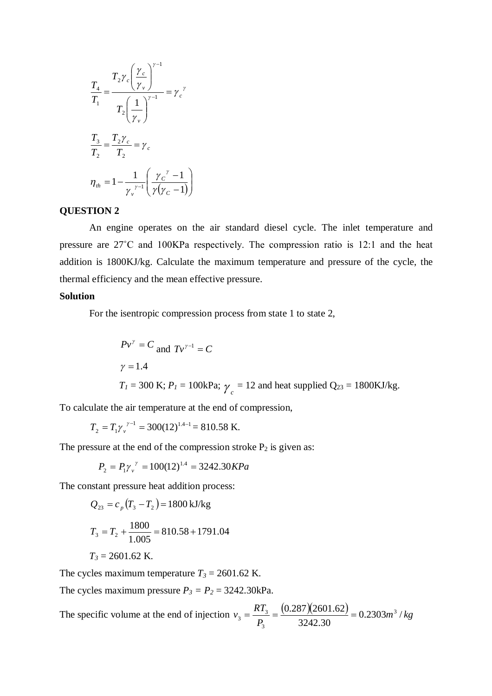$$
\frac{T_4}{T_1} = \frac{T_2 \gamma_c \left(\frac{\gamma_c}{\gamma_v}\right)^{\gamma - 1}}{T_2 \left(\frac{1}{\gamma_v}\right)^{\gamma - 1}} = \gamma_c^{\gamma}
$$
\n
$$
\frac{T_3}{T_2} = \frac{T_2 \gamma_c}{T_2} = \gamma_c
$$
\n
$$
\eta_{th} = 1 - \frac{1}{\gamma_v^{\gamma - 1}} \left(\frac{\gamma_c^{\gamma} - 1}{\gamma(\gamma_c - 1)}\right)
$$

## **QUESTION 2**

An engine operates on the air standard diesel cycle. The inlet temperature and pressure are 27˚C and 100KPa respectively. The compression ratio is 12:1 and the heat addition is 1800KJ/kg. Calculate the maximum temperature and pressure of the cycle, the thermal efficiency and the mean effective pressure.

## **Solution**

For the isentropic compression process from state 1 to state 2,

$$
Pv^{\gamma} = C
$$
 and  $Tv^{\gamma-1} = C$   
\n $\gamma = 1.4$   
\n $T_1 = 300 \text{ K}; P_1 = 100 \text{kPa}; \gamma_c = 12 \text{ and heat supplied Q}_{23} = 1800 \text{KJ/kg}.$ 

To calculate the air temperature at the end of compression,

$$
T_2 = T_1 \gamma_v^{\gamma - 1} = 300(12)^{1.4 - 1} = 810.58 \text{ K}.
$$

The pressure at the end of the compression stroke  $P_2$  is given as:

$$
P_2 = P_1 \gamma_v^{\ \gamma} = 100(12)^{1.4} = 3242.30 KPa
$$

The constant pressure heat addition process:

$$
Q_{23} = c_p (T_3 - T_2) = 1800 \text{ kJ/kg}
$$
  
\n
$$
T_3 = T_2 + \frac{1800}{1.005} = 810.58 + 1791.04
$$
  
\n
$$
T_3 = 2601.62 \text{ K.}
$$

The cycles maximum temperature  $T_3 = 2601.62$  K.

The cycles maximum pressure  $P_3 = P_2 = 3242.30 \text{kPa}$ .

The specific volume at the end of injection  $v_3 = \frac{RT_3}{R} = \frac{(0.287)(2601.62)}{224.288} = 0.2303m^3/kg$ *P*  $v_3 = \frac{RT_3}{R} = \frac{(0.287)(2601.62)}{224.2303} = 0.2303 m^3$ 3242.30  $(0.287)(2601.62)$  - 0.2303m<sup>3</sup> 3  $\frac{1}{3} = \frac{12}{10} = \frac{(0.287)(2001.02)}{2242.20} =$